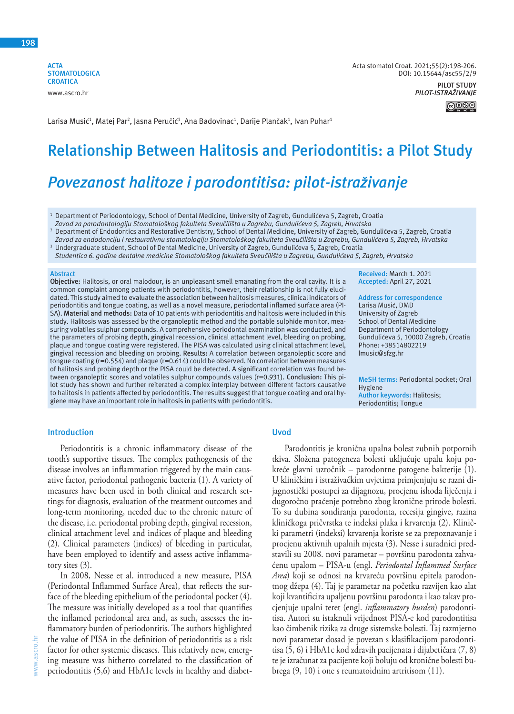**ACTA STOMATOLOGICA CROATICA** www.ascro.hr



Larisa Musić<sup>1</sup>, Matej Par<sup>2</sup>, Jasna Peručić<sup>3</sup>, Ana Badovinac<sup>1</sup>, Darije Plančak<sup>1</sup>, Ivan Puhar<sup>1</sup>

# **Relationship Between Halitosis and Periodontitis: a Pilot Study**

# *Povezanost halitoze i parodontitisa: pilot-istraživanje*

<sup>1</sup> Department of Periodontology, School of Dental Medicine, University of Zagreb, Gundulićeva 5, Zagreb, Croatia  *Zavod za parodontologiju Stomatološkog fakulteta Sveučilišta u Zagrebu, Gundulićeva 5, Zagreb, Hrvatska*

2 Department of Endodontics and Restorative Dentistry, School of Dental Medicine, University of Zagreb, Gundulićeva 5, Zagreb, Croatia

Zavod za endodonciju i restaurativnu stomatologiju Stomatološkog fakulteta Sveučilišta u Zagrebu, Gundulićeva 5, Zagreb, Hrvatska

3 Undergraduate student, School of Dental Medicine, University of Zagreb, Gundulićeva 5, Zagreb, Croatia

 *Studentica 6. godine dentalne medicine Stomatološkog fakulteta Sveučilišta u Zagrebu, Gundulićeva 5, Zagreb, Hrvatska*

#### **Abstract**

**Objective:** Halitosis, or oral malodour, is an unpleasant smell emanating from the oral cavity. It is a common complaint among patients with periodontitis, however, their relationship is not fully elucidated. This study aimed to evaluate the association between halitosis measures, clinical indicators of periodontitis and tongue coating, as well as a novel measure, periodontal inflamed surface area (PI-SA). **Material and methods:** Data of 10 patients with periodontitis and halitosis were included in this study. Halitosis was assessed by the organoleptic method and the portable sulphide monitor, measuring volatiles sulphur compounds. A comprehensive periodontal examination was conducted, and the parameters of probing depth, gingival recession, clinical attachment level, bleeding on probing, plaque and tongue coating were registered. The PISA was calculated using clinical attachment level, gingival recession and bleeding on probing. **Results:** A correlation between organoleptic score and tongue coating (r=0.554) and plaque (r=0.614) could be observed. No correlation between measures of halitosis and probing depth or the PISA could be detected. A significant correlation was found between organoleptic scores and volatiles sulphur compounds values (r=0.931). **Conclusion:** This pilot study has shown and further reiterated a complex interplay between different factors causative to halitosis in patients affected by periodontitis. The results suggest that tongue coating and oral hygiene may have an important role in halitosis in patients with periodontitis.

**Received:** March 1. 2021 **Accepted:** April 27, 2021

**Address for correspondence** Larisa Musić, DMD University of Zagreb School of Dental Medicine Department of Periodontology Gundulićeva 5, 10000 Zagreb, Croatia Phone: +38514802219 lmusic@sfzg.hr

**MeSH terms:** Periodontal pocket; Oral Hygiene **Author keywords:** Halitosis; Periodontitis; Tongue

#### **Introduction**

Periodontitis is a chronic inflammatory disease of the tooth's supportive tissues. The complex pathogenesis of the disease involves an inflammation triggered by the main causative factor, periodontal pathogenic bacteria (1). A variety of measures have been used in both clinical and research settings for diagnosis, evaluation of the treatment outcomes and long-term monitoring, needed due to the chronic nature of the disease, i.e. periodontal probing depth, gingival recession, clinical attachment level and indices of plaque and bleeding (2). Clinical parameters (indices) of bleeding in particular, have been employed to identify and assess active inflammatory sites (3).

In 2008, Nesse et al. introduced a new measure, PISA (Periodontal Inflammed Surface Area), that reflects the surface of the bleeding epithelium of the periodontal pocket (4). The measure was initially developed as a tool that quantifies the inflamed periodontal area and, as such, assesses the inflammatory burden of periodontitis. The authors highlighted the value of PISA in the definition of periodontitis as a risk factor for other systemic diseases. This relatively new, emerging measure was hitherto correlated to the classification of periodontitis (5,6) and HbA1c levels in healthy and diabet-

## **Uvod**

Parodontitis je kronična upalna bolest zubnih potpornih tkiva. Složena patogeneza bolesti uključuje upalu koju pokreće glavni uzročnik – parodontne patogene bakterije (1). U kliničkim i istraživačkim uvjetima primjenjuju se razni dijagnostički postupci za dijagnozu, procjenu ishoda liječenja i dugoročno praćenje potrebno zbog kronične prirode bolesti. To su dubina sondiranja parodonta, recesija gingive, razina kliničkoga pričvrstka te indeksi plaka i krvarenja (2). Klinički parametri (indeksi) krvarenja koriste se za prepoznavanje i procjenu aktivnih upalnih mjesta (3). Nesse i suradnici predstavili su 2008. novi parametar – površinu parodonta zahvaćenu upalom – PISA-u (engl. *Periodontal Inflammed Surface Area*) koji se odnosi na krvareću površinu epitela parodontnog džepa (4). Taj je parametar na početku razvijen kao alat koji kvantificira upaljenu površinu parodonta i kao takav procjenjuje upalni teret (engl. *inflammatory burden*) parodontitisa. Autori su istaknuli vrijednost PISA-e kod parodontitisa kao čimbenik rizika za druge sistemske bolesti. Taj razmjerno novi parametar dosad je povezan s klasifikacijom parodontitisa (5, 6) i HbA1c kod zdravih pacijenata i dijabetičara (7, 8) te je izračunat za pacijente koji boluju od kronične bolesti bubrega (9, 10) i one s reumatoidnim artritisom (11).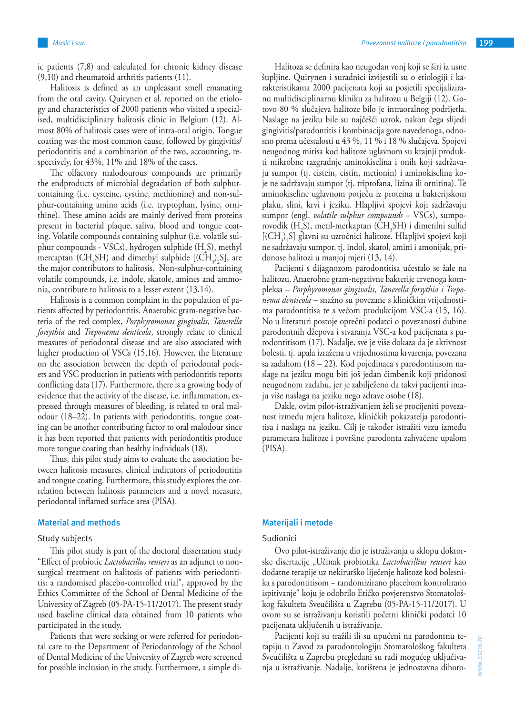ic patients (7,8) and calculated for chronic kidney disease (9,10) and rheumatoid arthritis patients (11).

Halitosis is defined as an unpleasant smell emanating from the oral cavity. Quirynen et al. reported on the etiology and characteristics of 2000 patients who visited a specialised, multidisciplinary halitosis clinic in Belgium (12). Almost 80% of halitosis cases were of intra-oral origin. Tongue coating was the most common cause, followed by gingivitis/ periodontitis and a combination of the two, accounting, respectively, for 43%, 11% and 18% of the cases.

The olfactory malodourous compounds are primarily the endproducts of microbial degradation of both sulphurcontaining (i.e. cysteine, cystine, methionine) and non-sulphur-containing amino acids (i.e. tryptophan, lysine, ornithine). These amino acids are mainly derived from proteins present in bacterial plaque, saliva, blood and tongue coating. Volatile compounds containing sulphur (i.e. volatile sulphur compounds - VSCs), hydrogen sulphide (H<sub>2</sub>S), methyl mercaptan (CH<sub>3</sub>SH) and dimethyl sulphide  $[(CH<sub>3</sub>)<sub>2</sub> S]$ , are the major contributors to halitosis. Non-sulphur-containing volatile compounds, i.e. indole, skatole, amines and ammonia, contribute to halitosis to a lesser extent (13,14).

Halitosis is a common complaint in the population of patients affected by periodontitis. Anaerobic gram-negative bacteria of the red complex, *Porphyromonas gingivalis*, *Tanerella forsythia* and *Treponema denticola*, strongly relate to clinical measures of periodontal disease and are also associated with higher production of VSCs (15,16). However, the literature on the association between the depth of periodontal pockets and VSC production in patients with periodontitis reports conflicting data (17). Furthermore, there is a growing body of evidence that the activity of the disease, i.e. inflammation, expressed through measures of bleeding, is related to oral malodour (18–22). In patients with periodontitis, tongue coating can be another contributing factor to oral malodour since it has been reported that patients with periodontitis produce more tongue coating than healthy individuals (18).

Thus, this pilot study aims to evaluate the association between halitosis measures, clinical indicators of periodontitis and tongue coating. Furthermore, this study explores the correlation between halitosis parameters and a novel measure, periodontal inflamed surface area (PISA).

#### **Material and methods**

### Study subjects

This pilot study is part of the doctoral dissertation study "Effect of probiotic *Lactobacillus reuteri* as an adjunct to nonsurgical treatment on halitosis of patients with periodontitis: a randomised placebo-controlled trial", approved by the Ethics Committee of the School of Dental Medicine of the University of Zagreb (05-PA-15-11/2017). The present study used baseline clinical data obtained from 10 patients who participated in the study.

Patients that were seeking or were referred for periodontal care to the Department of Periodontology of the School of Dental Medicine of the University of Zagreb were screened for possible inclusion in the study. Furthermore, a simple di-

Halitoza se definira kao neugodan vonj koji se širi iz usne šupljine. Quirynen i suradnici izvijestili su o etiologiji i karakteristikama 2000 pacijenata koji su posjetili specijaliziranu multidisciplinarnu kliniku za halitozu u Belgiji (12). Gotovo 80 % slučajeva halitoze bilo je intraoralnog podrijetla. Naslage na jeziku bile su najčešći uzrok, nakon čega slijedi gingivitis/parodontitis i kombinacija gore navedenoga, odnosno prema učestalosti u 43 %, 11 % i 18 % slučajeva. Spojevi neugodnog mirisa kod halitoze uglavnom su krajnji produkti mikrobne razgradnje aminokiselina i onih koji sadržavaju sumpor (tj. cistein, cistin, metionin) i aminokiselina koje ne sadržavaju sumpor (tj. triptofana, lizina ili ornitina). Te aminokiseline uglavnom potječu iz proteina u bakterijskom plaku, slini, krvi i jeziku. Hlapljivi spojevi koji sadržavaju sumpor (engl. *volatile sulphur compounds* – VSCs), sumporovodik (H<sub>2</sub>S), metil-merkaptan (CH<sub>3</sub>SH) i dimetilni sulfid  $[(CH<sub>3</sub>)<sub>2</sub>S]$  glavni su uzročnici halitoze. Hlapljivi spojevi koji ne sadržavaju sumpor, tj. indol, skatol, amini i amonijak, pridonose halitozi u manjoj mjeri (13, 14).

Pacijenti s dijagnozom parodontitisa učestalo se žale na halitozu. Anaerobne gram-negativne bakterije crvenoga kompleksa – *Porphyromonas gingivalis, Tanerella forsythia i Treponema denticola* – snažno su povezane s kliničkim vrijednostima parodontitisa te s većom produkcijom VSC-a (15, 16). No u literaturi postoje oprečni podatci o povezanosti dubine parodontnih džepova i stvaranja VSC-a kod pacijenata s parodontitisom (17). Nadalje, sve je više dokaza da je aktivnost bolesti, tj. upala izražena u vrijednostima krvarenja, povezana sa zadahom (18 – 22). Kod pojedinaca s parodontitisom naslage na jeziku mogu biti još jedan čimbenik koji pridonosi neugodnom zadahu, jer je zabilježeno da takvi pacijenti imaju više naslaga na jeziku nego zdrave osobe (18).

Dakle, ovim pilot-istraživanjem želi se procijeniti povezanost između mjera halitoze, kliničkih pokazatelja parodontitisa i naslaga na jeziku. Cilj je također istražiti vezu između parametara halitoze i površine parodonta zahvaćene upalom (PISA).

# **Materijali i metode**

#### Sudionici

Ovo pilot-istraživanje dio je istraživanja u sklopu doktorske disertacije "Učinak probiotika *Lactobacillius reuteri* kao dodatne terapije uz nekirurško liječenje halitoze kod bolesnika s parodontitisom − randomizirano placebom kontrolirano ispitivanje" koju je odobrilo Etičko povjerenstvo Stomatološkog fakulteta Sveučilišta u Zagrebu (05-PA-15-11/2017). U ovom su se istraživanju koristili početni klinički podatci 10 pacijenata uključenih u istraživanje.

Pacijenti koji su tražili ili su upućeni na parodontnu terapiju u Zavod za parodontologiju Stomatološkog fakulteta Sveučilišta u Zagrebu pregledani su radi mogućeg uključivanja u istraživanje. Nadalje, korištena je jednostavna dihoto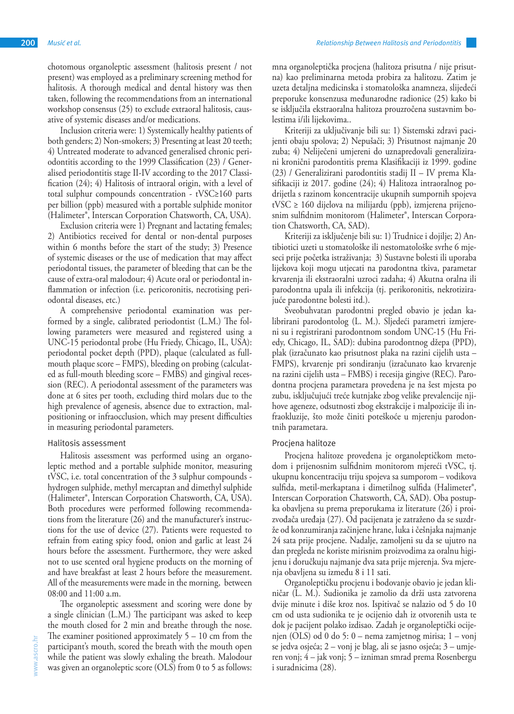chotomous organoleptic assessment (halitosis present / not present) was employed as a preliminary screening method for halitosis. A thorough medical and dental history was then taken, following the recommendations from an international workshop consensus (25) to exclude extraoral halitosis, causative of systemic diseases and/or medications.

Inclusion criteria were: 1) Systemically healthy patients of both genders; 2) Non-smokers; 3) Presenting at least 20 teeth; 4) Untreated moderate to advanced generalised chronic periodontitis according to the 1999 Classification (23) / Generalised periodontitis stage II-IV according to the 2017 Classification (24); 4) Halitosis of intraoral origin, with a level of total sulphur compounds concentration - tVSC≥160 parts per billion (ppb) measured with a portable sulphide monitor (Halimeter®, Interscan Corporation Chatsworth, CA, USA).

Exclusion criteria were 1) Pregnant and lactating females; 2) Antibiotics received for dental or non-dental purposes within 6 months before the start of the study; 3) Presence of systemic diseases or the use of medication that may affect periodontal tissues, the parameter of bleeding that can be the cause of extra-oral malodour; 4) Acute oral or periodontal inflammation or infection (i.e. pericoronitis, necrotising periodontal diseases, etc.)

A comprehensive periodontal examination was performed by a single, calibrated periodontist (L.M.) The following parameters were measured and registered using a UNC-15 periodontal probe (Hu Friedy, Chicago, IL, USA): periodontal pocket depth (PPD), plaque (calculated as fullmouth plaque score – FMPS), bleeding on probing (calculated as full-mouth bleeding score – FMBS) and gingival recession (REC). A periodontal assessment of the parameters was done at 6 sites per tooth, excluding third molars due to the high prevalence of agenesis, absence due to extraction, malpositioning or infraocclusion, which may present difficulties in measuring periodontal parameters.

#### Halitosis assessment

Halitosis assessment was performed using an organoleptic method and a portable sulphide monitor, measuring tVSC, i.e. total concentration of the 3 sulphur compounds hydrogen sulphide, methyl mercaptan and dimethyl sulphide (Halimeter®, Interscan Corporation Chatsworth, CA, USA). Both procedures were performed following recommendations from the literature (26) and the manufacturer's instructions for the use of device (27). Patients were requested to refrain from eating spicy food, onion and garlic at least 24 hours before the assessment. Furthermore, they were asked not to use scented oral hygiene products on the morning of and have breakfast at least 2 hours before the measurement. All of the measurements were made in the morning, between 08:00 and 11:00 a.m.

The organoleptic assessment and scoring were done by a single clinician (L.M.) The participant was asked to keep the mouth closed for 2 min and breathe through the nose. The examiner positioned approximately 5 – 10 cm from the participant's mouth, scored the breath with the mouth open while the patient was slowly exhaling the breath. Malodour was given an organoleptic score (OLS) from 0 to 5 as follows:

mna organoleptička procjena (halitoza prisutna / nije prisutna) kao preliminarna metoda probira za halitozu. Zatim je uzeta detaljna medicinska i stomatološka anamneza, slijedeći preporuke konsenzusa međunarodne radionice (25) kako bi se isključila ekstraoralna halitoza prouzročena sustavnim bolestima i/ili lijekovima..

Kriteriji za uključivanje bili su: 1) Sistemski zdravi pacijenti obaju spolova; 2) Nepušači; 3) Prisutnost najmanje 20 zuba; 4) Neliječeni umjereni do uznapredovali generalizirani kronični parodontitis prema Klasifikaciji iz 1999. godine (23) / Generalizirani parodontitis stadij II – IV prema Klasifikaciji iz 2017. godine (24); 4) Halitoza intraoralnog podrijetla s razinom koncentracije ukupnih sumpornih spojeva tVSC ≥ 160 dijelova na milijardu (ppb), izmjerena prijenosnim sulfidnim monitorom (Halimeter®, Interscan Corporation Chatsworth, CA, SAD).

Kriteriji za isključenje bili su: 1) Trudnice i dojilje; 2) Antibiotici uzeti u stomatološke ili nestomatološke svrhe 6 mjeseci prije početka istraživanja; 3) Sustavne bolesti ili uporaba lijekova koji mogu utjecati na parodontna tkiva, parametar krvarenja ili ekstraoralni uzroci zadaha; 4) Akutna oralna ili parodontna upala ili infekcija (tj. perikoronitis, nekrotizirajuće parodontne bolesti itd.).

Sveobuhvatan parodontni pregled obavio je jedan kalibrirani parodontolog (L. M.). Sljedeći parametri izmjereni su i registrirani parodontnom sondom UNC-15 (Hu Friedy, Chicago, IL, SAD): dubina parodontnog džepa (PPD), plak (izračunato kao prisutnost plaka na razini cijelih usta – FMPS), krvarenje pri sondiranju (izračunato kao krvarenje na razini cijelih usta – FMBS) i recesija gingive (REC). Parodontna procjena parametara provedena je na šest mjesta po zubu, isključujući treće kutnjake zbog velike prevalencije njihove ageneze, odsutnosti zbog ekstrakcije i malpozicije ili infraokluzije, što može činiti poteškoće u mjerenju parodontnih parametara.

#### Procjena halitoze

Procjena halitoze provedena je organoleptičkom metodom i prijenosnim sulfidnim monitorom mjereći tVSC, tj. ukupnu koncentraciju triju spojeva sa sumporom – vodikova sulfida, metil-merkaptana i dimetilnog sulfida (Halimeter®, Interscan Corporation Chatsworth, CA, SAD). Oba postupka obavljena su prema preporukama iz literature (26) i proizvođača uređaja (27). Od pacijenata je zatraženo da se suzdrže od konzumiranja začinjene hrane, luka i češnjaka najmanje 24 sata prije procjene. Nadalje, zamoljeni su da se ujutro na dan pregleda ne koriste mirisnim proizvodima za oralnu higijenu i doručkuju najmanje dva sata prije mjerenja. Sva mjerenja obavljena su između 8 i 11 sati.

Organoleptičku procjenu i bodovanje obavio je jedan kliničar (L. M.). Sudionika je zamolio da drži usta zatvorena dvije minute i diše kroz nos. Ispitivač se nalazio od 5 do 10 cm od usta sudionika te je ocijenio dah iz otvorenih usta te dok je pacijent polako izdisao. Zadah je organoleptički ocijenjen (OLS) od 0 do 5: 0 – nema zamjetnog mirisa; 1 – vonj se jedva osjeća; 2 – vonj je blag, ali se jasno osjeća; 3 – umjeren vonj; 4 – jak vonj; 5 – izniman smrad prema Rosenbergu i suradnicima (28).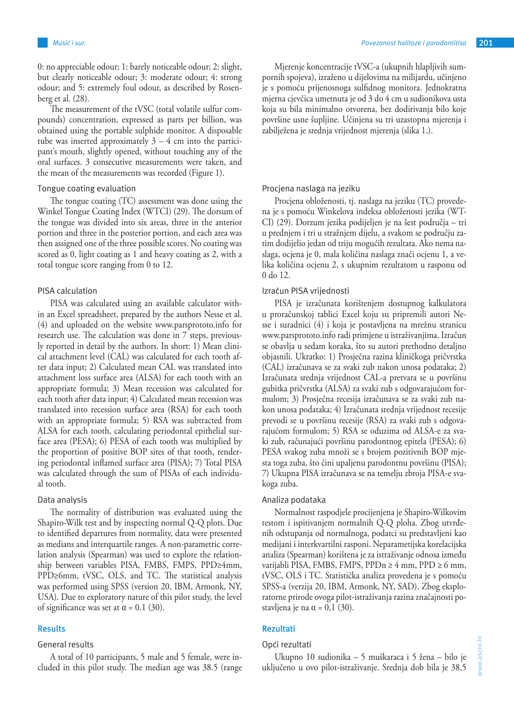0: no appreciable odour; 1: barely noticeable odour; 2: slight, but clearly noticeable odour; 3: moderate odour; 4: strong odour; and 5: extremely foul odour, as described by Rosenberg et al. (28).

The measurement of the tVSC (total volatile sulfur compounds) concentration, expressed as parts per billion, was obtained using the portable sulphide monitor. A disposable tube was inserted approximately  $3 - 4$  cm into the participant's mouth, slightly opened, without touching any of the oral surfaces. 3 consecutive measurements were taken, and the mean of the measurements was recorded (Figure 1).

## Tongue coating evaluation

The tongue coating (TC) assessment was done using the Winkel Tongue Coating Index (WTCI) (29). The dorsum of the tongue was divided into six areas, three in the anterior portion and three in the posterior portion, and each area was then assigned one of the three possible scores. No coating was scored as 0, light coating as 1 and heavy coating as 2, with a total tongue score ranging from 0 to 12.

#### PISA calculation

PISA was calculated using an available calculator within an Excel spreadsheet, prepared by the authors Nesse et al. (4) and uploaded on the website www.parsprototo.info for research use. The calculation was done in 7 steps, previously reported in detail by the authors. In short: 1) Mean clinical attachment level (CAL) was calculated for each tooth after data input; 2) Calculated mean CAL was translated into attachment loss surface area (ALSA) for each tooth with an appropriate formula; 3) Mean recession was calculated for each tooth after data input; 4) Calculated mean recession was translated into recession surface area (RSA) for each tooth with an appropriate formula; 5) RSA was subtracted from ALSA for each tooth, calculating periodontal epithelial surface area (PESA); 6) PESA of each tooth was multiplied by the proportion of positive BOP sites of that tooth, rendering periodontal inflamed surface area (PISA); 7) Total PISA was calculated through the sum of PISAs of each individual tooth.

## Data analysis

The normality of distribution was evaluated using the Shapiro-Wilk test and by inspecting normal Q-Q plots. Due to identified departures from normality, data were presented as medians and interquartile ranges. A non-parametric correlation analysis (Spearman) was used to explore the relationship between variables PISA, FMBS, FMPS, PPD≥4mm, PPD≥6mm, tVSC, OLS, and TC. The statistical analysis was performed using SPSS (version 20, IBM, Armonk, NY, USA). Due to exploratory nature of this pilot study, the level of significance was set at  $\alpha = 0.1$  (30).

#### **Results**

## General results

A total of 10 participants, 5 male and 5 female, were included in this pilot study. The median age was 38.5 (range

Mjerenje koncentracije tVSC-a (ukupnih hlapljivih sumpornih spojeva), izraženo u dijelovima na milijardu, učinjeno je s pomoću prijenosnoga sulfidnog monitora. Jednokratna mjerna cjevčica umetnuta je od 3 do 4 cm u sudionikova usta koja su bila minimalno otvorena, bez dodirivanja bilo koje površine usne šupljine. Učinjena su tri uzastopna mjerenja i zabilježena je srednja vrijednost mjerenja (slika 1.).

#### Procjena naslaga na jeziku

Procjena obloženosti, tj. naslaga na jeziku (TC) provedena je s pomoću Winkelova indeksa obloženosti jezika (WT-CI) (29). Dorzum jezika podijeljen je na šest područja – tri u prednjem i tri u stražnjem dijelu, a svakom se području zatim dodijelio jedan od triju mogućih rezultata. Ako nema naslaga, ocjena je 0, mala količina naslaga znači ocjenu 1, a velika količina ocjenu 2, s ukupnim rezultatom u rasponu od 0 do 12.

# Izračun PISA vrijednosti

PISA je izračunata korištenjem dostupnog kalkulatora u proračunskoj tablici Excel koju su pripremili autori Nesse i suradnici (4) i koja je postavljena na mrežnu stranicu www.parsprototo.info radi primjene u istraživanjima. Izračun se obavlja u sedam koraka, što su autori prethodno detaljno objasnili. Ukratko: 1) Prosječna razina kliničkoga pričvrstka (CAL) izračunava se za svaki zub nakon unosa podataka; 2) Izračunata srednja vrijednost CAL-a pretvara se u površinu gubitka pričvrstka (ALSA) za svaki zub s odgovarajućom formulom; 3) Prosječna recesija izračunava se za svaki zub nakon unosa podataka; 4) Izračunata srednja vrijednost recesije prevodi se u površinu recesije (RSA) za svaki zub s odgovarajućom formulom; 5) RSA se oduzima od ALSA-e za svaki zub, računajući površinu parodontnog epitela (PESA); 6) PESA svakog zuba množi se s brojem pozitivnih BOP mjesta toga zuba, što čini upaljenu parodontnu površinu (PISA); 7) Ukupna PISA izračunava se na temelju zbroja PISA-e svakoga zuba.

#### Analiza podataka

Normalnost raspodjele procijenjena je Shapiro-Wilkovim testom i ispitivanjem normalnih Q-Q ploha. Zbog utvrđenih odstupanja od normalnoga, podatci su predstavljeni kao medijani i interkvartilni rasponi. Neparametijska korelacijska analiza (Spearman) korištena je za istraživanje odnosa između varijabli PISA, FMBS, FMPS, PPDn ≥ 4 mm, PPD ≥ 6 mm, tVSC, OLS i TC. Statistička analiza provedena je s pomoću SPSS-a (verzija 20, IBM, Armonk, NY, SAD). Zbog eksploratorne prirode ovoga pilot-istraživanja razina značajnosti postavljena je na  $\alpha = 0,1$  (30).

# **Rezultati**

### Opći rezultati

Ukupno 10 sudionika – 5 muškaraca i 5 žena – bilo je uključeno u ovo pilot-istraživanje. Srednja dob bila je 38,5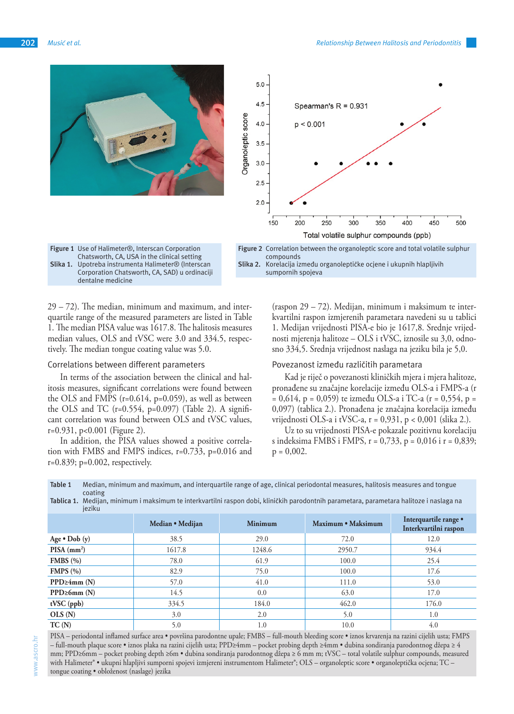

29 – 72). The median, minimum and maximum, and interquartile range of the measured parameters are listed in Table 1. The median PISA value was 1617.8. The halitosis measures median values, OLS and tVSC were 3.0 and 334.5, respectively. The median tongue coating value was 5.0.

## Correlations between different parameters

In terms of the association between the clinical and halitosis measures, significant correlations were found between the OLS and FMPS (r=0.614, p=0.059), as well as between the OLS and TC  $(r=0.554, p=0.097)$  (Table 2). A significant correlation was found between OLS and tVSC values, r=0.931, p<0.001 (Figure 2).

In addition, the PISA values showed a positive correlation with FMBS and FMPS indices, r=0.733, p=0.016 and r=0.839; p=0.002, respectively.

(raspon 29 – 72). Medijan, minimum i maksimum te interkvartilni raspon izmjerenih parametara navedeni su u tablici 1. Medijan vrijednosti PISA-e bio je 1617,8. Srednje vrijednosti mjerenja halitoze – OLS i tVSC, iznosile su 3,0, odnosno 334,5. Srednja vrijednost naslaga na jeziku bila je 5,0.

#### Povezanost između različitih parametara

Kad je riječ o povezanosti kliničkih mjera i mjera halitoze, pronađene su značajne korelacije između OLS-a i FMPS-a (r  $= 0.614$ , p = 0,059) te između OLS-a i TC-a (r = 0,554, p = 0,097) (tablica 2.). Pronađena je značajna korelacija između vrijednosti OLS-a i tVSC-a, r = 0,931, p < 0,001 (slika 2.).

Uz to su vrijednosti PISA-e pokazale pozitivnu korelaciju s indeksima FMBS i FMPS, r = 0,733, p = 0,016 i r = 0,839;  $p = 0,002$ .

| Table 1 | Median, minimum and maximum, and interguartile range of age, clinical periodontal measures, halitosis measures and tongue |
|---------|---------------------------------------------------------------------------------------------------------------------------|
|         | coating                                                                                                                   |
|         |                                                                                                                           |

**Tablica 1.** Medijan, minimum i maksimum te interkvartilni raspon dobi, kliničkih parodontnih parametara, parametara halitoze i naslaga na ieziku

|                           | Median • Medijan | <b>Minimum</b> | Maximum • Maksimum | Interquartile range •<br>Interkvartilni raspon |
|---------------------------|------------------|----------------|--------------------|------------------------------------------------|
| Age $\bullet$ Dob (y)     | 38.5             | 29.0           | 72.0               | 12.0                                           |
| $PISA$ (mm <sup>2</sup> ) | 1617.8           | 1248.6         | 2950.7             | 934.4                                          |
| FMBS $(\% )$              | 78.0             | 61.9           | 100.0              | 25.4                                           |
| FMPS(%)                   | 82.9             | 75.0           | 100.0              | 17.6                                           |
| $PPD \geq 4mm(N)$         | 57.0             | 41.0           | 111.0              | 53.0                                           |
| $PPD \geq 6mm(N)$         | 14.5             | 0.0            | 63.0               | 17.0                                           |
| $tVSC$ (ppb)              | 334.5            | 184.0          | 462.0              | 176.0                                          |
| OLS(N)                    | 3.0              | 2.0            | 5.0                | 1.0                                            |
| TC(N)                     | 5.0              | 1.0            | 10.0               | 4.0                                            |

PISA – periodontal inflamed surface area • površina parodontne upale; FMBS – full-mouth bleeding score • iznos krvarenja na razini cijelih usta; FMPS – full-mouth plaque score • iznos plaka na razini cijelih usta; PPD≥4mm – pocket probing depth ≥4mm • dubina sondiranja parodontnog džepa ≥ 4 mm; PPD≥6mm – pocket probing depth ≥6m • dubina sondiranja parodontnog džepa ≥ 6 mm m; tVSC – total volatile sulphur compounds, measured with Halimeter® • ukupni hlapljivi sumporni spojevi izmjereni instrumentom Halimeter®; OLS – organoleptic score • organoleptička ocjena; TC – tongue coating • obloženost (naslage) jezika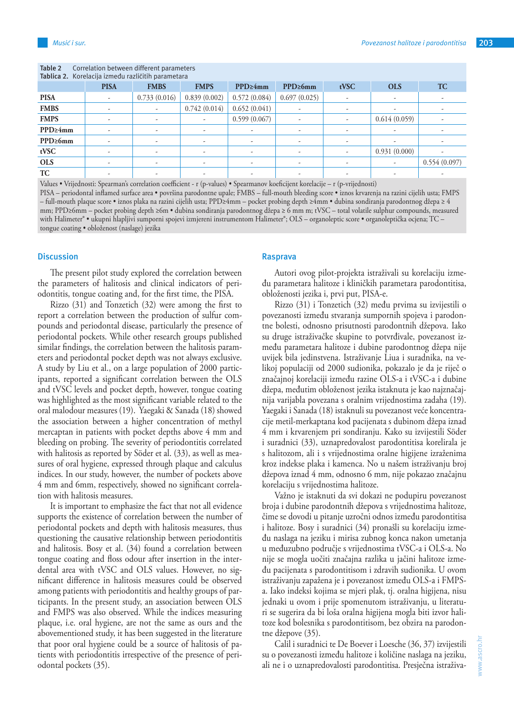#### **Table 2** Correlation between different parameters **Tablica 2.** Korelacija između različitih parametara

| <b>Tablica 2.</b> Nortiacija izniegu razlicitni parametara |             |                          |              |                |               |      |              |              |  |  |  |
|------------------------------------------------------------|-------------|--------------------------|--------------|----------------|---------------|------|--------------|--------------|--|--|--|
|                                                            | <b>PISA</b> | <b>FMBS</b>              | <b>FMPS</b>  | $PPD \geq 4mm$ | $PPD \ge 6mm$ | tVSC | <b>OLS</b>   | <b>TC</b>    |  |  |  |
| <b>PISA</b>                                                | ۰.          | 0.733(0.016)             | 0.839(0.002) | 0.572(0.084)   | 0.697(0.025)  |      | ٠            |              |  |  |  |
| <b>FMBS</b>                                                |             | $\overline{\phantom{a}}$ | 0.742(0.014) | 0.652(0.041)   |               |      |              |              |  |  |  |
| <b>FMPS</b>                                                |             | ٠                        |              | 0.599(0.067)   |               |      | 0.614(0.059) |              |  |  |  |
| $PPD \geq 4mm$                                             | ۰           | $\overline{\phantom{a}}$ |              |                | ۰             |      |              |              |  |  |  |
| $PPD \geq 6mm$                                             | ۰           | $\overline{\phantom{a}}$ |              | ۰              | ۰             |      |              |              |  |  |  |
| tVSC                                                       |             | $\overline{\phantom{a}}$ |              |                |               |      | 0.931(0.000) |              |  |  |  |
| <b>OLS</b>                                                 | ۰           | ٠                        |              | ۰              | ۰             |      | -            | 0.554(0.097) |  |  |  |
| TC                                                         |             |                          |              |                |               |      |              |              |  |  |  |
|                                                            |             |                          |              |                |               |      |              |              |  |  |  |

Values • Vrijednosti: Spearman's correlation coefficient - r (p-values) • Spearmanov koeficijent korelacije – r (p-vrijednosti)

PISA – periodontal inflamed surface area • površina parodontne upale; FMBS – full-mouth bleeding score • iznos krvarenja na razini cijelih usta; FMPS – full-mouth plaque score • iznos plaka na razini cijelih usta; PPD≥4mm – pocket probing depth ≥4mm • dubina sondiranja parodontnog džepa ≥ 4 mm; PPD≥6mm – pocket probing depth ≥6m • dubina sondiranja parodontnog džepa ≥ 6 mm m; tVSC – total volatile sulphur compounds, measured with Halimeter® • ukupni hlapljivi sumporni spojevi izmjereni instrumentom Halimeter®; OLS – organoleptic score • organoleptička ocjena; TC – tongue coating • obloženost (naslage) jezika

## **Discussion**

The present pilot study explored the correlation between the parameters of halitosis and clinical indicators of periodontitis, tongue coating and, for the first time, the PISA.

Rizzo (31) and Tonzetich (32) were among the first to report a correlation between the production of sulfur compounds and periodontal disease, particularly the presence of periodontal pockets. While other research groups published similar findings, the correlation between the halitosis parameters and periodontal pocket depth was not always exclusive. A study by Liu et al., on a large population of 2000 participants, reported a significant correlation between the OLS and tVSC levels and pocket depth, however, tongue coating was highlighted as the most significant variable related to the oral malodour measures (19). Yaegaki & Sanada (18) showed the association between a higher concentration of methyl mercaptan in patients with pocket depths above 4 mm and bleeding on probing. The severity of periodontitis correlated with halitosis as reported by Söder et al. (33), as well as measures of oral hygiene, expressed through plaque and calculus indices. In our study, however, the number of pockets above 4 mm and 6mm, respectively, showed no significant correlation with halitosis measures.

It is important to emphasize the fact that not all evidence supports the existence of correlation between the number of periodontal pockets and depth with halitosis measures, thus questioning the causative relationship between periodontitis and halitosis. Bosy et al. (34) found a correlation between tongue coating and floss odour after insertion in the interdental area with tVSC and OLS values. However, no significant difference in halitosis measures could be observed among patients with periodontitis and healthy groups of participants. In the present study, an association between OLS and FMPS was also observed. While the indices measuring plaque, i.e. oral hygiene, are not the same as ours and the abovementioned study, it has been suggested in the literature that poor oral hygiene could be a source of halitosis of patients with periodontitis irrespective of the presence of periodontal pockets (35).

## **Rasprava**

Autori ovog pilot-projekta istraživali su korelaciju između parametara halitoze i kliničkih parametara parodontitisa, obloženosti jezika i, prvi put, PISA-e.

Rizzo (31) i Tonzetich (32) među prvima su izvijestili o povezanosti između stvaranja sumpornih spojeva i parodontne bolesti, odnosno prisutnosti parodontnih džepova. Iako su druge istraživačke skupine to potvrđivale, povezanost između parametara halitoze i dubine parodontnog džepa nije uvijek bila jedinstvena. Istraživanje Liua i suradnika, na velikoj populaciji od 2000 sudionika, pokazalo je da je riječ o značajnoj korelaciji između razine OLS-a i tVSC-a i dubine džepa, međutim obloženost jezika istaknuta je kao najznačajnija varijabla povezana s oralnim vrijednostima zadaha (19). Yaegaki i Sanada (18) istaknuli su povezanost veće koncentracije metil-merkaptana kod pacijenata s dubinom džepa iznad 4 mm i krvarenjem pri sondiranju. Kako su izvijestili Söder i suradnici (33), uznapredovalost parodontitisa korelirala je s halitozom, ali i s vrijednostima oralne higijene izraženima kroz indekse plaka i kamenca. No u našem istraživanju broj džepova iznad 4 mm, odnosno 6 mm, nije pokazao značajnu korelaciju s vrijednostima halitoze.

Važno je istaknuti da svi dokazi ne podupiru povezanost broja i dubine parodontnih džepova s vrijednostima halitoze, čime se dovodi u pitanje uzročni odnos između parodontitisa i halitoze. Bosy i suradnici (34) pronašli su korelaciju između naslaga na jeziku i mirisa zubnog konca nakon umetanja u međuzubno područje s vrijednostima tVSC-a i OLS-a. No nije se mogla uočiti značajna razlika u jačini halitoze između pacijenata s parodontitisom i zdravih sudionika. U ovom istraživanju zapažena je i povezanost između OLS-a i FMPSa. Iako indeksi kojima se mjeri plak, tj. oralna higijena, nisu jednaki u ovom i prije spomenutom istraživanju, u literaturi se sugerira da bi loša oralna higijena mogla biti izvor halitoze kod bolesnika s parodontitisom, bez obzira na parodontne džepove (35).

Calil i suradnici te De Boever i Loesche (36, 37) izvijestili su o povezanosti između halitoze i količine naslaga na jeziku, ali ne i o uznapredovalosti parodontitisa. Presječna istraživa-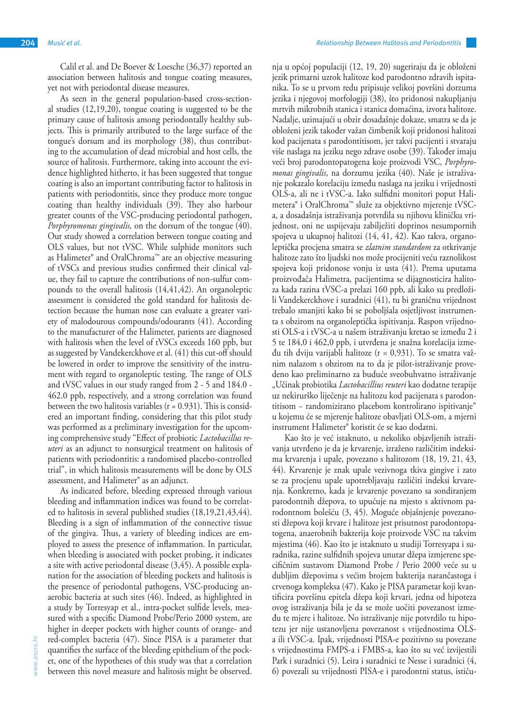Calil et al. and De Boever & Loesche (36,37) reported an association between halitosis and tongue coating measures, yet not with periodontal disease measures.

As seen in the general population-based cross-sectional studies (12,19,20), tongue coating is suggested to be the primary cause of halitosis among periodontally healthy subjects. This is primarily attributed to the large surface of the tongue's dorsum and its morphology (38), thus contributing to the accumulation of dead microbial and host cells, the source of halitosis. Furthermore, taking into account the evidence highlighted hitherto, it has been suggested that tongue coating is also an important contributing factor to halitosis in patients with periodontitis, since they produce more tongue coating than healthy individuals (39). They also harbour greater counts of the VSC-producing periodontal pathogen, *Porphyromonas gingivalis,* on the dorsum of the tongue (40). Our study showed a correlation between tongue coating and OLS values, but not tVSC. While sulphide monitors such as Halimeter® and OralChroma™ are an objective measuring of tVSCs and previous studies confirmed their clinical value, they fail to capture the contributions of non-sulfur compounds to the overall halitosis (14,41,42). An organoleptic assessment is considered the gold standard for halitosis detection because the human nose can evaluate a greater variety of malodourous compounds/odourants (41). According to the manufacturer of the Halimeter, patients are diagnosed with halitosis when the level of tVSCs exceeds 160 ppb, but as suggested by Vandekerckhove et al. (41) this cut-off should be lowered in order to improve the sensitivity of the instrument with regard to organoleptic testing. The range of OLS and tVSC values in our study ranged from 2 - 5 and 184.0 - 462.0 ppb, respectively, and a strong correlation was found between the two halitosis variables  $(r = 0.931)$ . This is considered an important finding, considering that this pilot study was performed as a preliminary investigation for the upcoming comprehensive study "Effect of probiotic *Lactobacillus reuteri* as an adjunct to nonsurgical treatment on halitosis of patients with periodontitis: a randomised placebo-controlled trial", in which halitosis measurements will be done by OLS assessment, and Halimeter® as an adjunct.

As indicated before, bleeding expressed through various bleeding and inflammation indices was found to be correlated to halitosis in several published studies (18,19,21,43,44). Bleeding is a sign of inflammation of the connective tissue of the gingiva. Thus, a variety of bleeding indices are employed to assess the presence of inflammation. In particular, when bleeding is associated with pocket probing, it indicates a site with active periodontal disease (3,45). A possible explanation for the association of bleeding pockets and halitosis is the presence of periodontal pathogens, VSC-producing anaerobic bacteria at such sites (46). Indeed, as highlighted in a study by Torresyap et al., intra-pocket sulfide levels, measured with a specific Diamond Probe/Perio 2000 system, are higher in deeper pockets with higher counts of orange- and red-complex bacteria (47). Since PISA is a parameter that quantifies the surface of the bleeding epithelium of the pocket, one of the hypotheses of this study was that a correlation between this novel measure and halitosis might be observed.

nja u općoj populaciji (12, 19, 20) sugeriraju da je obloženi jezik primarni uzrok halitoze kod parodontno zdravih ispitanika. To se u prvom redu pripisuje velikoj površini dorzuma jezika i njegovoj morfologiji (38), što pridonosi nakupljanju mrtvih mikrobnih stanica i stanica domaćina, izvora halitoze. Nadalje, uzimajući u obzir dosadašnje dokaze, smatra se da je obloženi jezik također važan čimbenik koji pridonosi halitozi kod pacijenata s parodontitisom, jer takvi pacijenti i stvaraju više naslaga na jeziku nego zdrave osobe (39). Također imaju veći broj parodontopatogena koje proizvodi VSC, *Porphyromonas gingivalis*, na dorzumu jezika (40). Naše je istraživanje pokazalo korelaciju između naslaga na jeziku i vrijednosti OLS-a, ali ne i tVSC-a. Iako sulfidni monitori poput Halimetera® i OralChroma™ služe za objektivno mjerenje tVSCa, a dosadašnja istraživanja potvrdila su njihovu kliničku vrijednost, oni ne uspijevaju zabilježiti doprinos nesumpornih spojeva u ukupnoj halitozi (14, 41, 42). Kao takva, organoleptička procjena smatra se *zlatnim standardom* za otkrivanje halitoze zato što ljudski nos može procijeniti veću raznolikost spojeva koji pridonose vonju iz usta (41). Prema uputama proizvođača Halimetra, pacijentima se dijagnosticira halitoza kada razina tVSC-a prelazi 160 ppb, ali kako su predložili Vandekerckhove i suradnici (41), tu bi graničnu vrijednost trebalo smanjiti kako bi se poboljšala osjetljivost instrumenta s obzirom na organoleptička ispitivanja. Raspon vrijednosti OLS-a i tVSC-a u našem istraživanju kretao se između 2 i 5 te 184,0 i 462,0 ppb, i utvrđena je snažna korelacija između tih dviju varijabli halitoze (r = 0,931). To se smatra važnim nalazom s obzirom na to da je pilot-istraživanje provedeno kao preliminarno za buduće sveobuhvatno istraživanje "Učinak probiotika *Lactobacillius reuteri* kao dodatne terapije uz nekirurško liječenje na halitozu kod pacijenata s parodontitisom − randomizirano placebom kontrolirano ispitivanje" u kojemu će se mjerenje halitoze obavljati OLS-om, a mjerni instrument Halimeter® koristit će se kao dodatni.

Kao što je već istaknuto, u nekoliko objavljenih istraživanja utvrđeno je da je krvarenje, izraženo različitim indeksima krvarenja i upale, povezano s halitozom (18, 19, 21, 43, 44). Krvarenje je znak upale vezivnoga tkiva gingive i zato se za procjenu upale upotrebljavaju različiti indeksi krvarenja. Konkretno, kada je krvarenje povezano sa sondiranjem parodontnih džepova, to upućuje na mjesto s aktivnom parodontnom bolešću (3, 45). Moguće objašnjenje povezanosti džepova koji krvare i halitoze jest prisutnost parodontopatogena, anaerobnih bakterija koje proizvode VSC na takvim mjestima (46). Kao što je istaknuto u studiji Torresyapa i suradnika, razine sulfidnih spojeva unutar džepa izmjerene specifičnim sustavom Diamond Probe / Perio 2000 veće su u dubljim džepovima s većim brojem bakterija narančastoga i crvenoga kompleksa (47). Kako je PISA parametar koji kvantificira površinu epitela džepa koji krvari, jedna od hipoteza ovog istraživanja bila je da se može uočiti povezanost između te mjere i halitoze. No istraživanje nije potvrdilo tu hipotezu jer nije ustanovljena povezanost s vrijednostima OLSa ili tVSC-a. Ipak, vrijednosti PISA-e pozitivno su povezane s vrijednostima FMPS-a i FMBS-a, kao što su već izvijestili Park i suradnici (5). Leira i suradnici te Nesse i suradnici (4, 6) povezali su vrijednosti PISA-e i parodontni status, ističu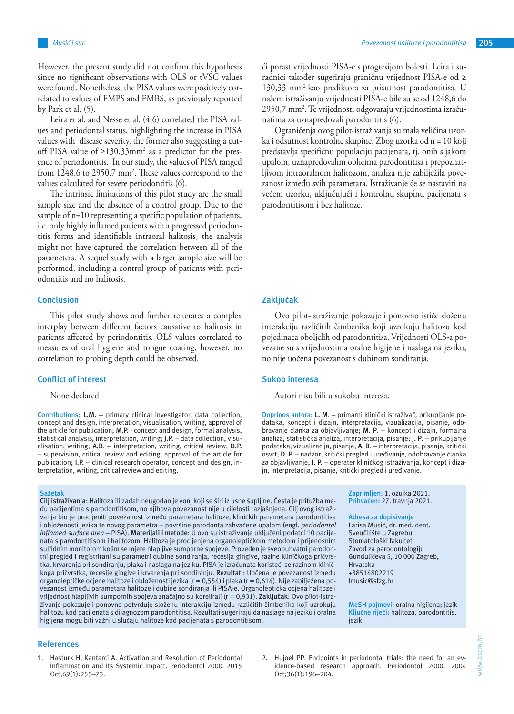However, the present study did not confirm this hypothesis since no significant observations with OLS or tVSC values were found. Nonetheless, the PISA values were positively correlated to values of FMPS and FMBS, as previously reported by Park et al. (5).

Leira et al. and Nesse et al. (4,6) correlated the PISA values and periodontal status, highlighting the increase in PISA values with disease severity, the former also suggesting a cutoff PISA value of ≥130.33mm<sup>2</sup> as a predictor for the presence of periodontitis. In our study, the values of PISA ranged from 1248.6 to 2950.7 mm<sup>2</sup>. These values correspond to the values calculated for severe periodontitis (6).

The intrinsic limitations of this pilot study are the small sample size and the absence of a control group. Due to the sample of n=10 representing a specific population of patients, i.e. only highly inflamed patients with a progressed periodontitis forms and identifiable intraoral halitosis, the analysis might not have captured the correlation between all of the parameters. A sequel study with a larger sample size will be performed, including a control group of patients with periodontitis and no halitosis.

## **Conclusion**

This pilot study shows and further reiterates a complex interplay between different factors causative to halitosis in patients affected by periodontitis. OLS values correlated to measures of oral hygiene and tongue coating, however, no correlation to probing depth could be observed.

## **Conflict of interest**

None declared

**Contributions: L.M.** – primary clinical investigator, data collection, concept and design, interpretation, visualisation, writing, approval of the article for publication; **M.P.** - concept and design, formal analysis, statistical analysis, interpretation, writing; **J.P.** – data collection, visualisation, writing; **A.B**. – interpretation, writing, critical review; **D.P.** – supervision, critical review and editing, approval of the article for publication; **I.P.** – clinical research operator, concept and design, interpretation, writing, critical review and editing.

#### **Sažetak**

**Cilj istraživanja**: Halitoza ili zadah neugodan je vonj koji se širi iz usne šupljine. Česta je pritužba među pacijentima s parodontitisom, no njihova povezanost nije u cijelosti razjašnjena. Cilj ovog istraživanja bio je procijeniti povezanost između parametara halitoze, kliničkih parametara parodontitisa i obloženosti jezika te novog parametra – površine parodonta zahvaćene upalom (engl. *periodontal inflamed surface area* – PISA). **Materijali i metode**: U ovo su istraživanje uključeni podatci 10 pacijenata s parodontitisom i halitozom. Halitoza je procijenjena organoleptičkom metodom i prijenosnim sulfidnim monitorom kojim se mjere hlapljive sumporne spojeve. Proveden je sveobuhvatni parodontni pregled i registrirani su parametri dubine sondiranja, recesija gingive, razine kliničkoga pričvrstka, krvarenja pri sondiranju, plaka i naslaga na jeziku. PISA je izračunata koristeći se razinom kliničkoga pričvrstka, recesije gingive i krvarenja pri sondiranju. **Rezultati**: Uočena je povezanost između organoleptičke ocjene halitoze i obloženosti jezika (r = 0,554) i plaka (r = 0,614). Nije zabilježena povezanost između parametara halitoze i dubine sondiranja ili PISA-e. Organoleptička ocjena halitoze i vrijednost hlapljivih sumpornih spojeva značajno su korelirali (r = 0,931). **Zaključak**: Ovo pilot-istraživanje pokazuje i ponovno potvrđuje složenu interakciju između različitih čimbenika koji uzrokuju halitozu kod pacijenata s dijagnozom parodontitisa. Rezultati sugeriraju da naslage na jeziku i oralna higijena mogu biti važni u slučaju halitoze kod pacijenata s parodontitisom.

#### **References**

1. Hasturk H, Kantarci A. Activation and Resolution of Periodontal Inflammation and Its Systemic Impact. Periodontol 2000. 2015 Oct;69(1):255–73.

ći porast vrijednosti PISA-e s progresijom bolesti. Leira i suradnici također sugeriraju graničnu vrijednost PISA-e od ≥ 130,33 mm2 kao prediktora za prisutnost parodontitisa. U našem istraživanju vrijednosti PISA-e bile su se od 1248,6 do 2950,7 mm2 . Te vrijednosti odgovaraju vrijednostima izračunatima za uznapredovali parodontitis (6).

Ograničenja ovog pilot-istraživanja su mala veličina uzorka i odsutnost kontrolne skupine. Zbog uzorka od n = 10 koji predstavlja specifičnu populaciju pacijenata, tj. onih s jakom upalom, uznapredovalim oblicima parodontitisa i prepoznatljivom intraoralnom halitozom, analiza nije zabilježila povezanost između svih parametara. Istraživanje će se nastaviti na većem uzorku, uključujući i kontrolnu skupinu pacijenata s parodontitisom i bez halitoze.

## **Zaključak**

Ovo pilot-istraživanje pokazuje i ponovno ističe složenu interakciju različitih čimbenika koji uzrokuju halitozu kod pojedinaca oboljelih od parodontitisa. Vrijednosti OLS-a povezane su s vrijednostima oralne higijene i naslaga na jeziku, no nije uočena povezanost s dubinom sondiranja.

### **Sukob interesa**

Autori nisu bili u sukobu interesa.

**Doprinos autora: L. M**. – primarni klinički istraživač, prikupljanje podataka, koncept i dizajn, interpretacija, vizualizacija, pisanje, odobravanje članka za objavljivanje; **M. P**. – koncept i dizajn, formalna analiza, statistička analiza, interpretacija, pisanje; **J. P**. – prikupljanje podataka, vizualizacija, pisanje; **A. B**. – interpretacija, pisanje, kritički osvrt; **D. P.** – nadzor, kritički pregled i uređivanje, odobravanje članka za objavljivanje; **I. P.** – operater kliničkog istraživanja, koncept i dizajn, interpretacija, pisanje, kritički pregled i uređivanje.

> **Zaprimljen:** 1. ožujka 2021. **Prihvaćen:** 27. travnja 2021.

#### **Adresa za dopisivanje**

Larisa Musić, dr. med. dent. Sveučilište u Zagrebu Stomatološki fakultet Zavod za parodontologiju Gundulićeva 5, 10 000 Zagreb, Hrvatska +38514802219 lmusic@sfzg.hr

**MeSH pojmovi:** oralna higijena; jezik **Ključne riječi:** halitoza, parodontitis, iezik

2. Hujoel PP. Endpoints in periodontal trials: the need for an evidence-based research approach. Periodontol 2000. 2004 Oct;36(1):196–204.